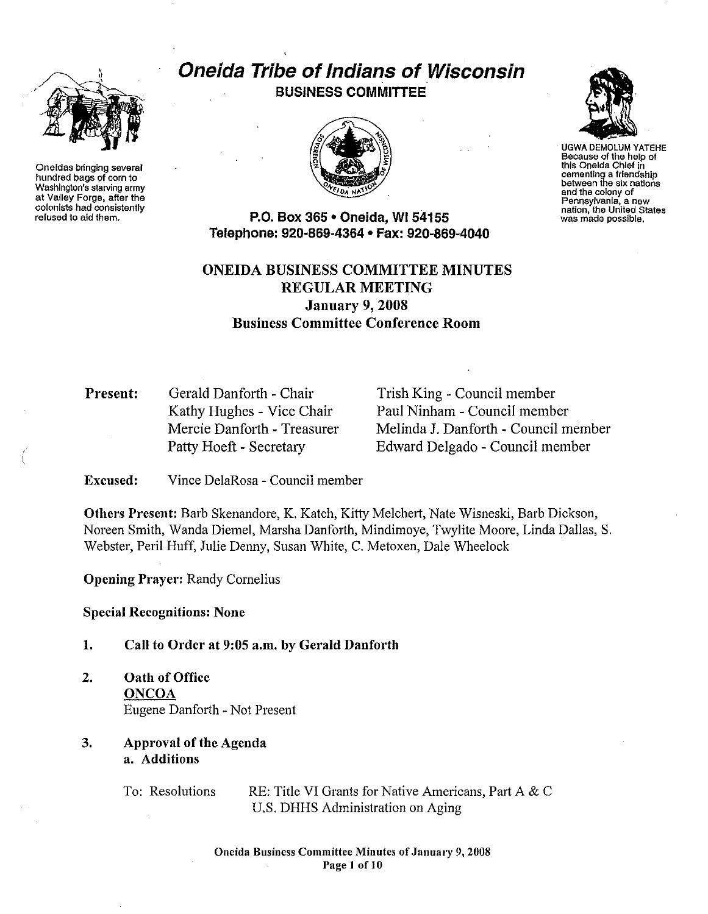

Oneidas bringing several hundred bags of corn to Washington's starving army at Valley Forge, after the colonists had consistently refused to aid them.

# Oneida Tribe of Indians of Wisconsin BUSINESS COMMITTEE





UGWA DEMOLUM YATEHE Because of the help of this Oneida Chief in cementing a friendship between the six nations and the colony of Pennsylvania, a new nation, the United States was made possible.

P.O. Box 365 • Oneida, Wl54155 Telephone: 920·869·4364 • Fax: 920·869-4040

## ONEIDA BUSINESS COMMITTEE MINUTES REGULAR MEETING January 9, 2008 Business Committee Conference Room

Present: Gerald Danforth - Chair Kathy Hughes - Vice Chair Mercie Danforth - Treasurer Patty Hoeft - Secretary

Trish King - Council member Paul Ninham - Council member Melinda J. Danforth- Council member Edward Delgado - Council member

Excused: Vince DelaRosa- Council member

Others Present: Barb Skenandore, K. Katch, Kitty Melchert, Nate Wisneski, Barb Dickson, Noreen Smith, Wanda Diemel, Marsha Danforth, Mindimoye, Twylite Moore, Linda Dallas, S. Webster, Peril Huff, Julie Denny, Susan White, C. Metoxen, Dale Wheelock

Opening Prayer: Randy Cornelius

Special Recognitions: None

- 1. Call to Order at 9:05a.m. by Gerald Danforth
- 2. Oath of Office **ONCOA** Eugene Danforth -Not Present
- 3. Approval of the Agenda a. Additions

To: Resolutions RE: Title VI Grants for Native Americans, Part A & C U.S. DHHS Administration on Aging

> Oneida Business Committee Minutes of January 9, 2008 Page 1 of 10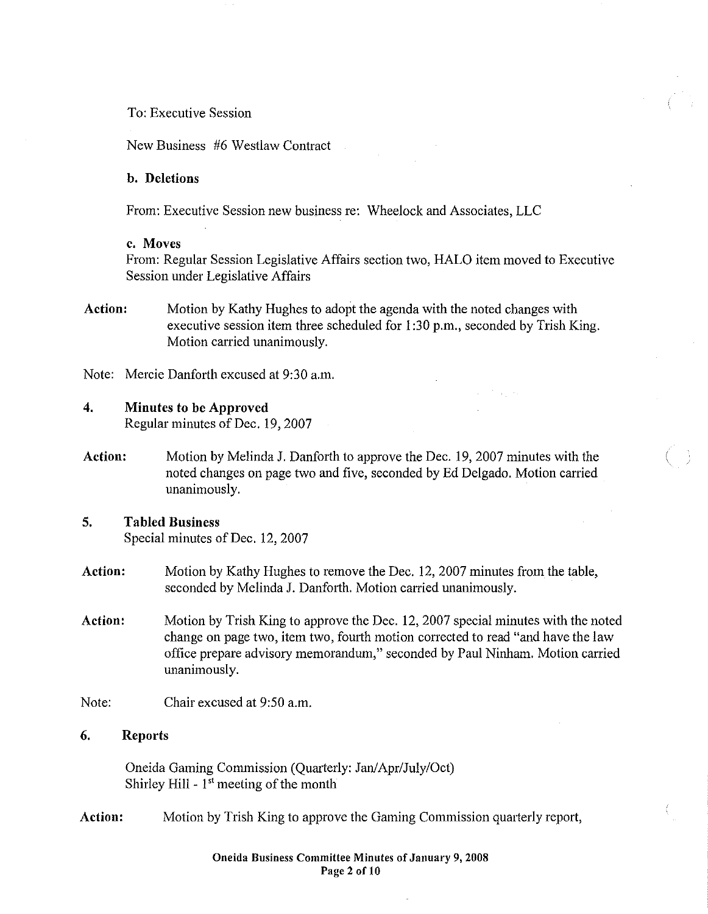## To: Executive Session

New Business #6 Westlaw Contract

#### b. Deletions

From: Executive Session new business re: Wheelock and Associates, LLC

#### c. Moves

From: Regular Session Legislative Affairs section two, HALO item moved to Executive Session under Legislative Affairs

Action: Motion by Kathy Hughes to adopt the agenda with the noted changes with executive session item three scheduled for I :30 p.m., seconded by Irish King. Motion carried unanimously.

Note: Mercie Danforth excused at 9:30 a.m.

#### 4. Minutes to be Approved

Regular minutes of Dec. 19, 2007

Action: Motion by Melinda J. Danforth to approve the Dec. 19, 2007 minutes with the noted changes on page two and five, seconded by Ed Delgado. Motion canied unanimously.

## 5. Tabled Business

Special minutes of Dec. 12, 2007

- Action: Motion by Kathy Hughes to remove the Dec. 12, 2007 minutes from the table, seconded by Melinda J. Danforth. Motion carried unanimously.
- Action: Motion by Irish King to approve the Dec. 12, 2007 special minutes with the noted change on page two, item two, fourth motion corrected to read "and have the law office prepare advisory memorandum," seconded by Paul Ninham. Motion carried unanimously.
- Note: Chair excused at 9:50 a.m.

## 6. Reports

Oneida Gaming Commission (Quarterly: Jan/Apr/July/Oct) Shirley Hill  $-1$ <sup>st</sup> meeting of the month

Action: Motion by Trish King to approve the Gaming Commission quarterly report,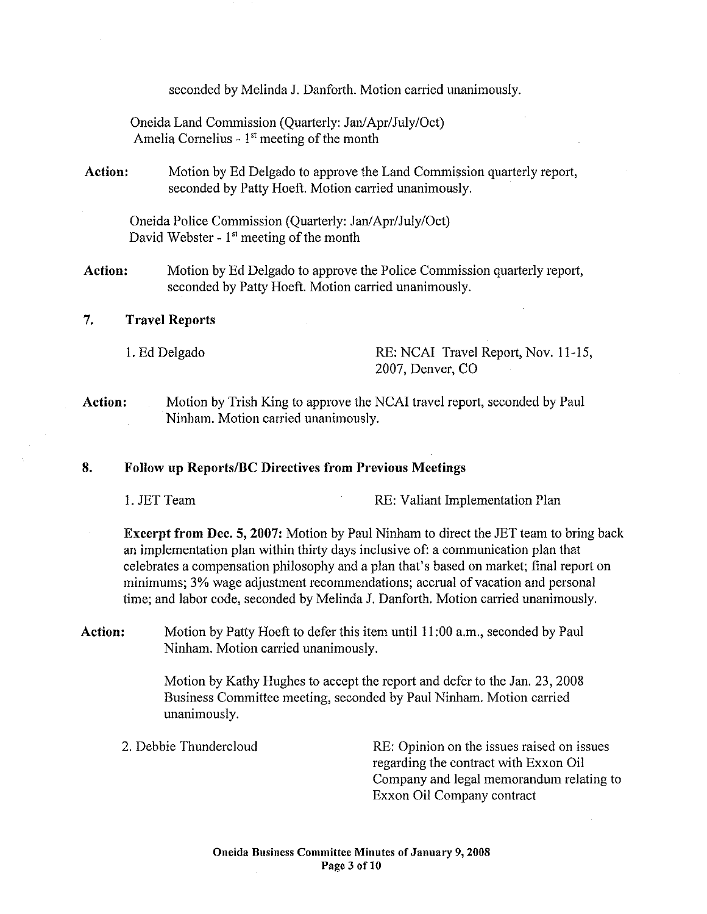seconded by Melinda J. Danforth. Motion carried unanimously.

Oneida Land Commission (Quarterly: Jan/Apr/July/Oct) Amelia Cornelius -  $1<sup>st</sup>$  meeting of the month

**Action:**  Motion by Ed Delgado to approve the Land Commission quarterly report, seconded by Patty Hoeft. Motion carried unanimously.

Oneida Police Commission (Quarterly: Jan/Apr/July/Oct) David Webster - 1<sup>st</sup> meeting of the month

**Action:**  Motion by Ed Delgado to approve the Police Commission quarterly report, seconded by Patty Hoeft. Motion carried unanimously.

## 7. **Travel Reports**

I. Ed Delgado RE: NCAI Travel Report, Nov. 11-15, 2007, Denver, CO

**Action:**  Motion by Trish King to approve the NCAI travel report, seconded by Paul Ninham. Motion carried unanimously.

## **8. Follow up Reports/BC Directives from Previous Meetings**

1. JET Team RE: Valiant Implementation Plan

**Excerpt from Dec. 5, 2007:** Motion by Paul Ninham to direct the JET team to bring back an implementation plan within thirty days inclusive of: a communication plan that celebrates a compensation philosophy and a plan that's based on market; final report on minimums; 3% wage adjustment recommendations; accrual of vacation and personal time; and labor code, seconded by Melinda J. Danforth. Motion carried unanimously.

**Action:** Motion by Patty Hoeft to defer this item until II :00 a.m., seconded by Paul Ninham. Motion carried unanimously.

> Motion by Kathy Hughes to accept the report and defer to the Jan. 23, 2008 Business Committee meeting, seconded by Paul Ninham. Motion carried unanimously.

2. Debbie Thundercloud RE: Opinion on the issues raised on issues regarding the contract with Exxon Oil Company and legal memorandum relating to Exxon Oil Company contract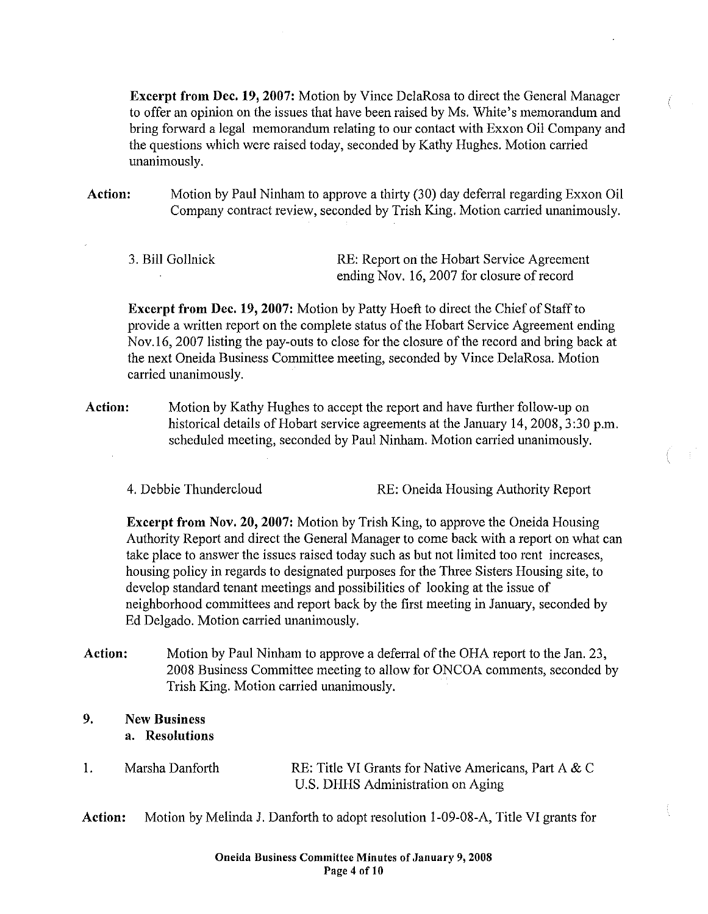Excerpt from Dec. 19, 2007: Motion by Vince DelaRosa to direct the General Manager to offer an opinion on the issues that have been raised by Ms. White's memorandum and bring forward a legal memorandum relating to our contact with Exxon Oil Company and the questions which were raised today, seconded by Kathy Hughes. Motion carried unanimously.

Action: Motion by Paul Ninham to approve a thirty (30) day deferral regarding Exxon Oil Company contract review, seconded by Trish King. Motion carried unanimously.

3. Bill Gollnick RE: Report on the Hobart Service Agreement ending Nov. 16,2007 for closure of record

Excerpt from Dec. 19, 2007: Motion by Patty Hoeft to direct the Chief of Staff to provide a written report on the complete status of the Hobart Service Agreement ending Nov.l6, 2007 listing the pay-outs to close for the closure of the record and bring back at the next Oneida Business Committee meeting, seconded by Vince DelaRosa. Motion carried unanimously.

- Action: Motion by Kathy Hughes to accept the report and have further follow-up on historical details of Hobart service agreements at the January 14,2008,3:30 p.m. scheduled meeting, seconded by Paul Ninham. Motion carried unanimously.
	-

4. Debbie Thundercloud RE: Oneida Housing Authority Report

Excerpt from Nov. 20,2007: Motion by Trish King, to approve the Oneida Housing Authority Report and direct the General Manager to come back with a report on what can take place to answer the issues raised today such as but not limited too rent increases, housing policy in regards to designated purposes for the Three Sisters Housing site, to develop standard tenant meetings and possibilities of looking at the issue of neighborhood committees and report back by the first meeting in January, seconded by Ed Delgado. Motion carried unanimously.

- Action: Motion by Paul Ninham to approve a deferral of the OHA report to the Jan. 23, 2008 Business Committee meeting to allow for ONCOA comments, seconded by Trish King. Motion carried unanimously.
- 9. New Business a. Resolutions
- 1. Marsha Danforth RE: Title VI Grants for Native Americans, Part A & C U.S. DHHS Administration on Aging

Action: Motion by Melinda J. Danforth to adopt resolution 1-09-08-A, Title VI grants for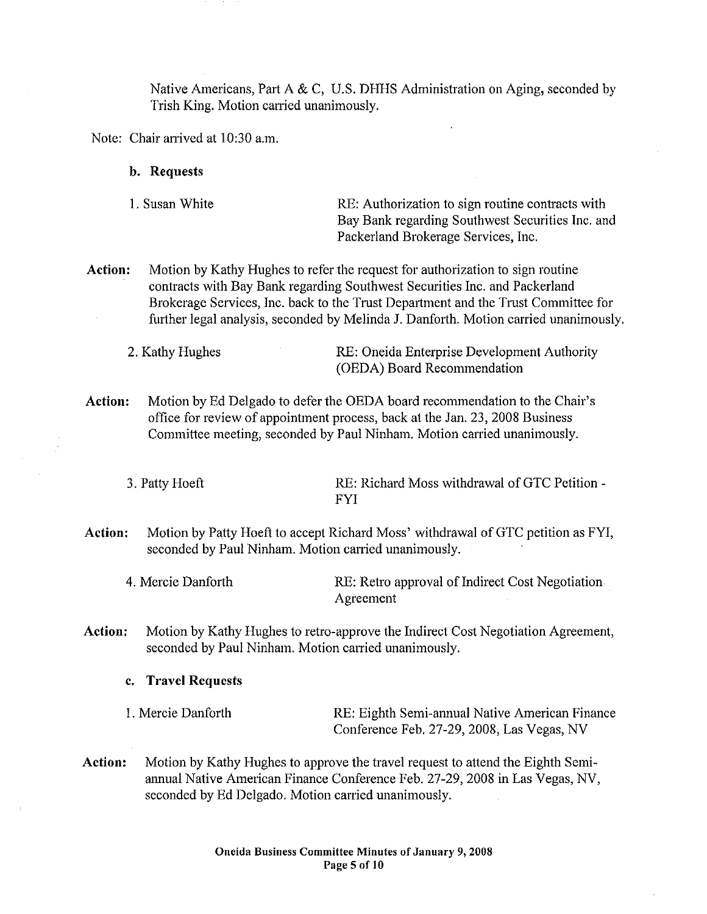Native Americans, Part A & C, U.S. DHHS Administration on Aging, seconded by Trish King. Motion carried unanimously.

Note: Chair arrived at 10:30 a.m.

**b. Requests** 

| 1. Susan White | RE: Authorization to sign routine contracts with |
|----------------|--------------------------------------------------|
|                | Bay Bank regarding Southwest Securities Inc. and |
|                | Packerland Brokerage Services, Inc.              |

**Action:** Motion by Kathy Hughes to refer the request for authorization to sign routine contracts with Bay Bank regarding Southwest Securities Inc. and Packerland Brokerage Services, Inc. back to the Trust Department and the Trust Committee for further legal analysis, seconded by Melinda J. Danforth. Motion carried unanimously.

2. Kathy Hughes RE: Oneida Enterprise Development Authority (OEDA) Board Recommendation

**Action:** Motion by Ed Delgado to defer the OEDA board recommendation to the Chair's office for review of appointment process, back at the Jan. 23, 2008 Business Committee meeting, seconded by Paul Ninham. Motion carried unanimously.

3. Patty Hoeft RE: Richard Moss withdrawal of GTC Petition -FYI

**Action:** Motion by Patty Hoeft to accept Richard Moss' withdrawal of GTC petition as FYI, seconded by Paul Ninham. Motion carried unanimously.

4. Mercie Danforth RE: Retro approval of Indirect Cost Negotiation Agreement

**Action:** Motion by Kathy Hughes to retro-approve the Indirect Cost Negotiation Agreement, seconded by Paul Ninham. Motion carried unanimously.

**c. Travel Requests** 

I. Mercie Danforth RE: Eighth Semi-annual Native American Finance Conference Feb. 27-29,2008, Las Vegas, NV

**Action:** Motion by Kathy Hughes to approve the travel request to attend the Eighth Semiannual Native American Finance Conference Feb. 27-29,2008 in Las Vegas, NV, seconded by Ed Delgado. Motion carried unanimously.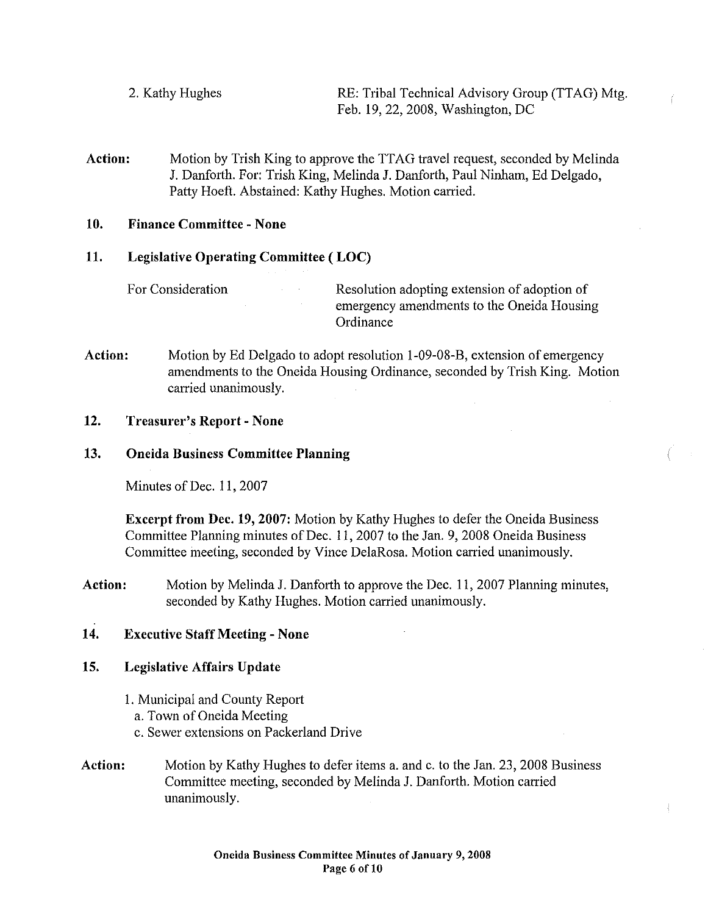- 2. Kathy Hughes RE: Tribal Technical Advisory Group (TTAG) Mtg. Feb. 19, 22,2008, Washington, DC
- **Action:** Motion by Trish King to approve the TTAG travel request, seconded by Melinda J. Danforth. For: Trish King, Melinda J. Danforth, Paul Ninham, Ed Delgado, Patty Hoeft. Abstained: Kathy Hughes. Motion carried.

## **10. Finance Committee- None**

## **11. Legislative Operating Committee ( LOC)**

For Consideration Resolution adopting extension of adoption of emergency amendments to the Oneida Housing Ordinance

**Action:** Motion by Ed Delgado to adopt resolution 1-09-08-B, extension of emergency amendments to the Oneida Housing Ordinance, seconded by Trish King. Motion carried unanimously.

## **12. Treasurer's Report- None**

## **13. Oneida Business Committee Planning**

Minutes of Dec. 11, 2007

**Excerpt from Dec. 19, 2007:** Motion by Kathy Hughes to defer the Oneida Business Committee Planning minutes of Dec. 11,2007 to the Jan. 9, 2008 Oneida Business Committee meeting, seconded by Vince DelaRosa. Motion carried unanimously.

**Action:** Motion by Melinda J. Danforth to approve the Dec. 11, 2007 Planning minutes, seconded by Kathy Hughes. Motion carried unanimously.

## **14. Executive Staff Meeting - None**

## **15. Legislative Affairs Update**

- 1. Municipal and County Repoti
	- a. Town of Oneida Meeting
	- c. Sewer extensions on Packerland Drive
- **Action:**  Motion by Kathy Hughes to defer items a. and c. to the Jan. 23, 2008 Business Committee meeting, seconded by Melinda J. Danforth. Motion carried unanimously.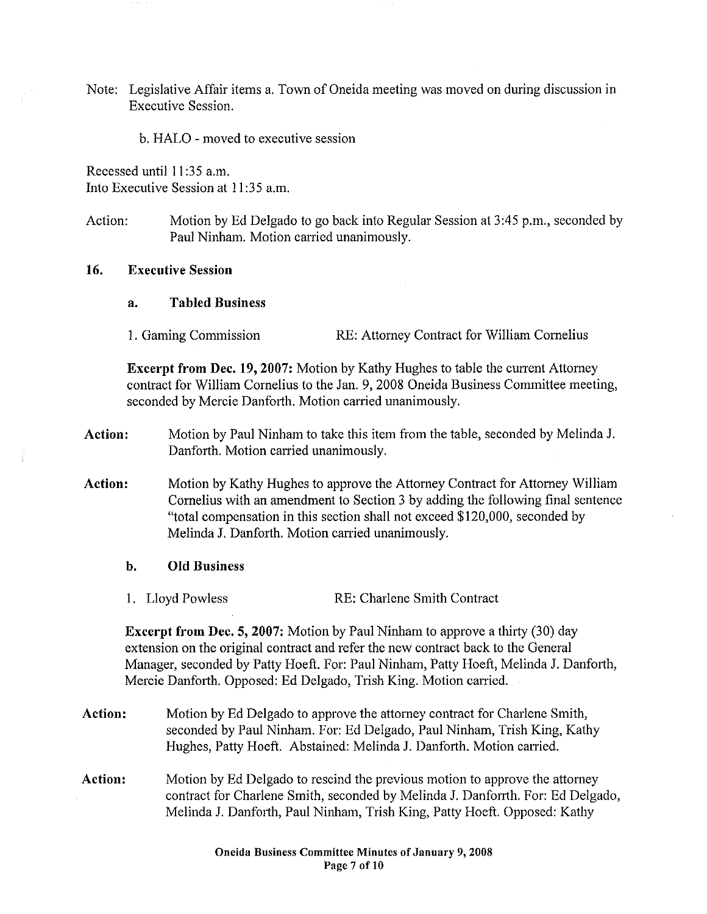Note: Legislative Affair items a. Town of Oneida meeting was moved on during discussion in Executive Session.

b. HALO -moved to executive session

Recessed until II :35 a.m. Into Executive Session at II :35 a.m.

Action: Motion by Ed Delgado to go back into Regular Session at 3:45 p.m., seconded by Paul Ninham. Motion carried unanimously.

## 16. Executive Session

#### a. Tabled Business

I. Gaming Commission RE: Attorney Contract for William Cornelius

Excerpt from Dec. 19, 2007: Motion by Kathy Hughes to table the current Attorney contract for William Cornelius to the Jan. 9, 2008 Oneida Business Committee meeting, seconded by Mercie Danforth. Motion carried unanimously.

- Action: Motion by Paul Ninham to take this item from the table, seconded by Melinda J. Danforth. Motion carried unanimously.
- Action: Motion by Kathy Hughes to approve the Attorney Contract for Attorney William Cornelius with an amendment to Section 3 by adding the following final sentence "total compensation in this section shall not exceed \$120,000, seconded by Melinda J. Danforth. Motion carried unanimously.

#### b. Old Business

1. Lloyd Powless RE: Charlene Smith Contract

Excerpt from Dec. 5, 2007: Motion by Paul Ninham to approve a thirty (30) day extension on the original contract and refer the new contract back to the General Manager, seconded by Patty Hoeft. For: Paul Ninham, Patty Hoeft, Melinda J. Danforth, Mercie Danforth. Opposed: Ed Delgado, Trish King. Motion carried.

- Action: Motion by Ed Delgado to approve the attorney contract for Charlene Smith, seconded by Paul Ninham. For: Ed Delgado, Paul Ninham, Trish King, Kathy Hughes, Patty Hoeft. Abstained: Melinda J. Danforth. Motion carried.
- Action: Motion by Ed Delgado to rescind the previous motion to approve the attorney contract for Charlene Smith, seconded by Melinda J. Danforrth. For: Ed Delgado, Melinda J. Danforth, Paul Ninham, Trish King, Patty Hoeft. Opposed: Kathy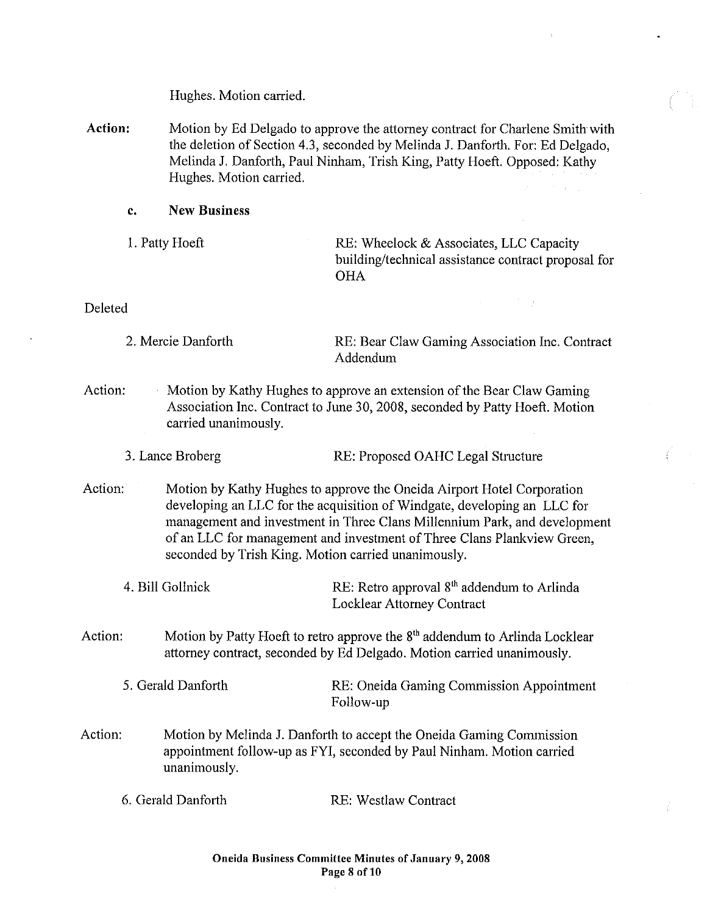Hughes. Motion carried.

- Action: Motion by Ed Delgado to approve the attorney contract for Charlene Smith with the deletion of Section 4.3, seconded by Melinda J. Danforth. For: Ed Delgado, Melinda J. Danforth, Paul Ninham, Trish King, Patty Hoeft. Opposed: Kathy Hughes. Motion carried.
	- c. New Business
	-

1. Patty Hoeft RE: Wheelock & Associates, LLC Capacity building/technical assistance contract proposal for **OHA** 

## Deleted

| 2. Mercie Danforth | RE: Bear Claw Gaming Association Inc. Contract |
|--------------------|------------------------------------------------|
|                    | Addendum                                       |

- Action: Motion by Kathy Hughes to approve an extension of the Bear Claw Gaming Association Inc. Contract to June 30, 2008, seconded by Patty Hoeft. Motion carried unanimously.
	- 3. Lance Broberg RE: Proposed OAHC Legal Structure
- Action: Motion by Kathy Hughes to approve the Oneida Airport Hotel Corporation developing an LLC for the acquisition of Windgate, developing an LLC for management and investment in Three Clans Millennium Park, and development of an LLC for management and investment of Three Clans Plankview Green, seconded by Trish King. Motion carried unanimously.
	- 4. Bill Gollnick RE: Retro approval 8<sup>th</sup> addendum to Arlinda Locklear Attorney Contract
- Action: Motion by Patty Hoeft to retro approve the  $8<sup>th</sup>$  addendum to Arlinda Locklear attorney contract, seconded by Ed Delgado. Motion carried unanimously.
	- 5. Gerald Danforth RE: Oneida Gaming Commission Appointment Follow-up
- Action: Motion by Melinda J. Danforth to accept the Oneida Gaming Commission appointment follow-up as FYI, seconded by Paul Ninham. Motion carried unanimously.
	- 6. Gerald Danforth RE: Westlaw Contract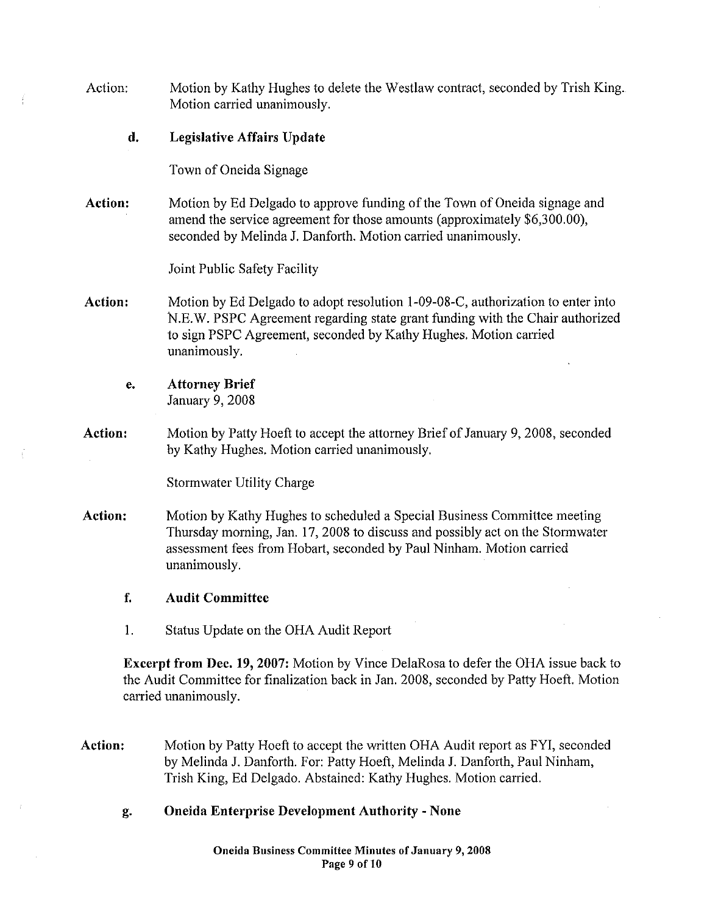Action: d. Action: Action: e. Action: Action: f. I. Motion by Kathy Hughes to delete the Westlaw contract, seconded by Trish King. Motion carried unanimously. Legislative Affairs Update Town of Oneida Signage Motion by Ed Delgado to approve funding of the Town of Oneida signage and amend the service agreement for those amounts (approximately \$6,300.00), seconded by Melinda J. Danforth. Motion carried unanimously. Joint Public Safety Facility Motion by Ed Delgado to adopt resolution 1-09-08-C, authorization to enter into N.E.W. PSPC Agreement regarding state grant funding with the Chair authorized to sign PSPC Agreement, seconded by Kathy Hughes. Motion canied unanimously. Attorney Brief January 9, 2008 Motion by Patty Hoeft to accept the attorney Brief of January 9, 2008, seconded by Kathy Hughes. Motion carried unanimously. Stormwater Utility Charge Motion by Kathy Hughes to scheduled a Special Business Committee meeting Thursday morning, Jan. 17, 2008 to discuss and possibly act on the Storm water assessment fees from Hobart, seconded by Paul Ninham. Motion canied unanimously. Audit Committee Status Update on the OHA Audit Report Excerpt from Dec. 19, 2007: Motion by Vince DelaRosa to defer the OHA issue back to the Audit Committee for finalization back in Jan. 2008, seconded by Patty Hoeft. Motion carried unanimously. Action: g. Motion by Patty Hoeft to accept the written OHA Audit report as FYI, seconded by Melinda J. Danforth. For: Patty Hoeft, Melinda J. Danforth, Paul Ninham, Trish King, Ed Delgado. Abstained: Kathy Hughes. Motion canied. Oneida Enterprise Development Authority- None